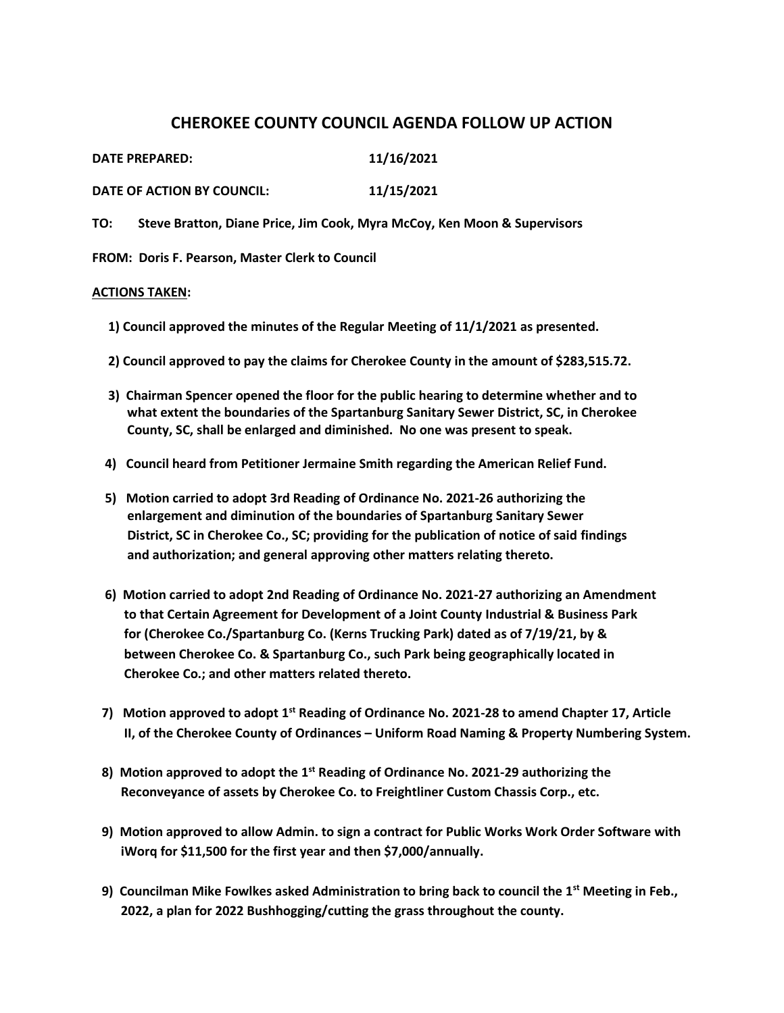## **CHEROKEE COUNTY COUNCIL AGENDA FOLLOW UP ACTION**

| DATE PREPARED:             | 11/16/2021 |
|----------------------------|------------|
| DATE OF ACTION BY COUNCIL: | 11/15/2021 |

**TO: Steve Bratton, Diane Price, Jim Cook, Myra McCoy, Ken Moon & Supervisors** 

**FROM: Doris F. Pearson, Master Clerk to Council** 

## **ACTIONS TAKEN:**

- **1) Council approved the minutes of the Regular Meeting of 11/1/2021 as presented.**
- **2) Council approved to pay the claims for Cherokee County in the amount of \$283,515.72.**
- **3) Chairman Spencer opened the floor for the public hearing to determine whether and to what extent the boundaries of the Spartanburg Sanitary Sewer District, SC, in Cherokee County, SC, shall be enlarged and diminished. No one was present to speak.**
- **4) Council heard from Petitioner Jermaine Smith regarding the American Relief Fund.**
- **5) Motion carried to adopt 3rd Reading of Ordinance No. 2021-26 authorizing the enlargement and diminution of the boundaries of Spartanburg Sanitary Sewer District, SC in Cherokee Co., SC; providing for the publication of notice of said findings and authorization; and general approving other matters relating thereto.**
- **6) Motion carried to adopt 2nd Reading of Ordinance No. 2021-27 authorizing an Amendment to that Certain Agreement for Development of a Joint County Industrial & Business Park for (Cherokee Co./Spartanburg Co. (Kerns Trucking Park) dated as of 7/19/21, by & between Cherokee Co. & Spartanburg Co., such Park being geographically located in Cherokee Co.; and other matters related thereto.**
- **7) Motion approved to adopt 1st Reading of Ordinance No. 2021-28 to amend Chapter 17, Article II, of the Cherokee County of Ordinances – Uniform Road Naming & Property Numbering System.**
- **8) Motion approved to adopt the 1st Reading of Ordinance No. 2021-29 authorizing the Reconveyance of assets by Cherokee Co. to Freightliner Custom Chassis Corp., etc.**
- **9) Motion approved to allow Admin. to sign a contract for Public Works Work Order Software with iWorq for \$11,500 for the first year and then \$7,000/annually.**
- **9) Councilman Mike Fowlkes asked Administration to bring back to council the 1st Meeting in Feb., 2022, a plan for 2022 Bushhogging/cutting the grass throughout the county.**